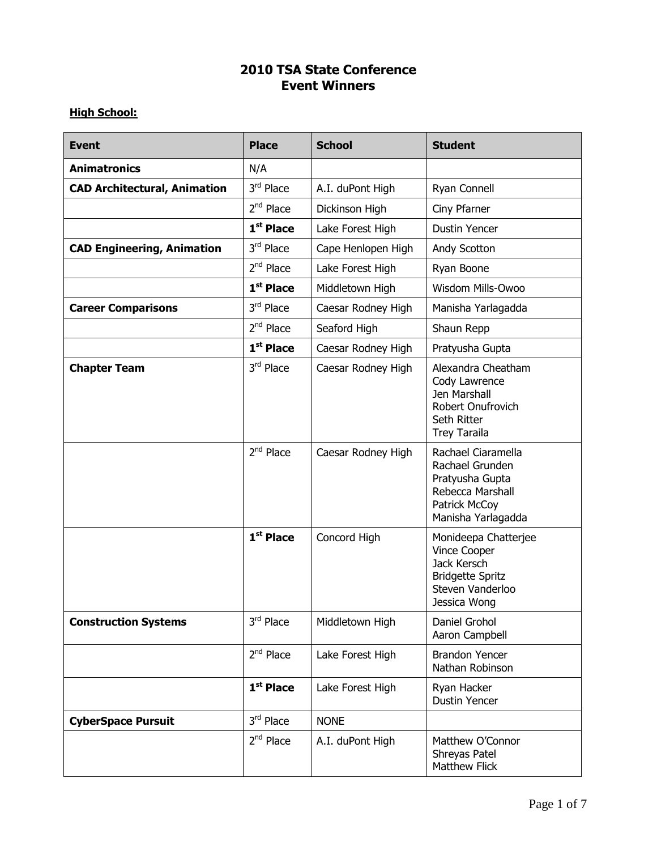## **2010 TSA State Conference Event Winners**

## **High School:**

| <b>Event</b>                        | <b>Place</b>          | <b>School</b>      | <b>Student</b>                                                                                                            |
|-------------------------------------|-----------------------|--------------------|---------------------------------------------------------------------------------------------------------------------------|
| <b>Animatronics</b>                 | N/A                   |                    |                                                                                                                           |
| <b>CAD Architectural, Animation</b> | 3rd Place             | A.I. duPont High   | Ryan Connell                                                                                                              |
|                                     | $2nd$ Place           | Dickinson High     | Ciny Pfarner                                                                                                              |
|                                     | $1st$ Place           | Lake Forest High   | <b>Dustin Yencer</b>                                                                                                      |
| <b>CAD Engineering, Animation</b>   | 3rd Place             | Cape Henlopen High | Andy Scotton                                                                                                              |
|                                     | $2nd$ Place           | Lake Forest High   | Ryan Boone                                                                                                                |
|                                     | 1 <sup>st</sup> Place | Middletown High    | Wisdom Mills-Owoo                                                                                                         |
| <b>Career Comparisons</b>           | 3rd Place             | Caesar Rodney High | Manisha Yarlagadda                                                                                                        |
|                                     | $2nd$ Place           | Seaford High       | Shaun Repp                                                                                                                |
|                                     | $1st$ Place           | Caesar Rodney High | Pratyusha Gupta                                                                                                           |
| <b>Chapter Team</b>                 | 3rd Place             | Caesar Rodney High | Alexandra Cheatham<br>Cody Lawrence<br>Jen Marshall<br>Robert Onufrovich<br>Seth Ritter<br><b>Trey Taraila</b>            |
|                                     | $2nd$ Place           | Caesar Rodney High | Rachael Ciaramella<br>Rachael Grunden<br>Pratyusha Gupta<br>Rebecca Marshall<br>Patrick McCoy<br>Manisha Yarlagadda       |
|                                     | 1 <sup>st</sup> Place | Concord High       | Monideepa Chatterjee<br><b>Vince Cooper</b><br>Jack Kersch<br><b>Bridgette Spritz</b><br>Steven Vanderloo<br>Jessica Wong |
| <b>Construction Systems</b>         | 3rd Place             | Middletown High    | Daniel Grohol<br>Aaron Campbell                                                                                           |
|                                     | $2nd$ Place           | Lake Forest High   | <b>Brandon Yencer</b><br>Nathan Robinson                                                                                  |
|                                     | 1 <sup>st</sup> Place | Lake Forest High   | Ryan Hacker<br>Dustin Yencer                                                                                              |
| <b>CyberSpace Pursuit</b>           | 3rd Place             | <b>NONE</b>        |                                                                                                                           |
|                                     | $2nd$ Place           | A.I. duPont High   | Matthew O'Connor<br>Shreyas Patel<br>Matthew Flick                                                                        |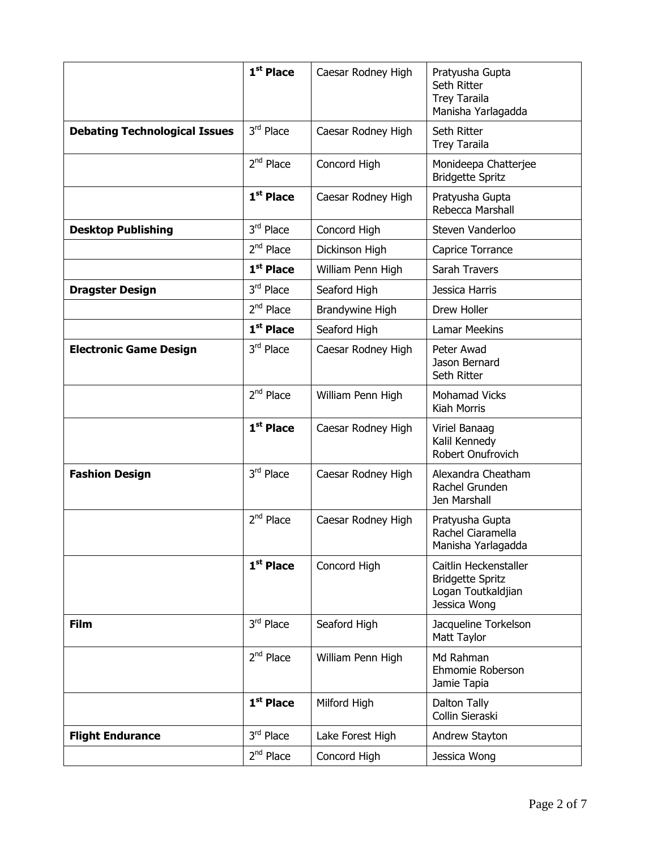|                                      | 1 <sup>st</sup> Place | Caesar Rodney High | Pratyusha Gupta<br>Seth Ritter<br><b>Trey Taraila</b><br>Manisha Yarlagadda            |
|--------------------------------------|-----------------------|--------------------|----------------------------------------------------------------------------------------|
| <b>Debating Technological Issues</b> | 3rd Place             | Caesar Rodney High | Seth Ritter<br><b>Trey Taraila</b>                                                     |
|                                      | $2nd$ Place           | Concord High       | Monideepa Chatterjee<br><b>Bridgette Spritz</b>                                        |
|                                      | $1st$ Place           | Caesar Rodney High | Pratyusha Gupta<br>Rebecca Marshall                                                    |
| <b>Desktop Publishing</b>            | 3rd Place             | Concord High       | Steven Vanderloo                                                                       |
|                                      | $2nd$ Place           | Dickinson High     | Caprice Torrance                                                                       |
|                                      | 1 <sup>st</sup> Place | William Penn High  | Sarah Travers                                                                          |
| <b>Dragster Design</b>               | $3rd$ Place           | Seaford High       | Jessica Harris                                                                         |
|                                      | $2nd$ Place           | Brandywine High    | Drew Holler                                                                            |
|                                      | 1 <sup>st</sup> Place | Seaford High       | <b>Lamar Meekins</b>                                                                   |
| <b>Electronic Game Design</b>        | $3rd$ Place           | Caesar Rodney High | Peter Awad<br>Jason Bernard<br>Seth Ritter                                             |
|                                      | $2nd$ Place           | William Penn High  | <b>Mohamad Vicks</b><br>Kiah Morris                                                    |
|                                      | $1st$ Place           | Caesar Rodney High | Viriel Banaag<br>Kalil Kennedy<br>Robert Onufrovich                                    |
| <b>Fashion Design</b>                | 3rd Place             | Caesar Rodney High | Alexandra Cheatham<br>Rachel Grunden<br>Jen Marshall                                   |
|                                      | $2nd$ Place           | Caesar Rodney High | Pratyusha Gupta<br>Rachel Ciaramella<br>Manisha Yarlagadda                             |
|                                      | $1st$ Place           | Concord High       | Caitlin Heckenstaller<br><b>Bridgette Spritz</b><br>Logan Toutkaldjian<br>Jessica Wong |
| <b>Film</b>                          | 3rd Place             | Seaford High       | Jacqueline Torkelson<br>Matt Taylor                                                    |
|                                      | $2nd$ Place           | William Penn High  | Md Rahman<br>Ehmomie Roberson<br>Jamie Tapia                                           |
|                                      | 1 <sup>st</sup> Place | Milford High       | Dalton Tally<br>Collin Sieraski                                                        |
| <b>Flight Endurance</b>              | 3rd Place             | Lake Forest High   | Andrew Stayton                                                                         |
|                                      | $2nd$ Place           | Concord High       | Jessica Wong                                                                           |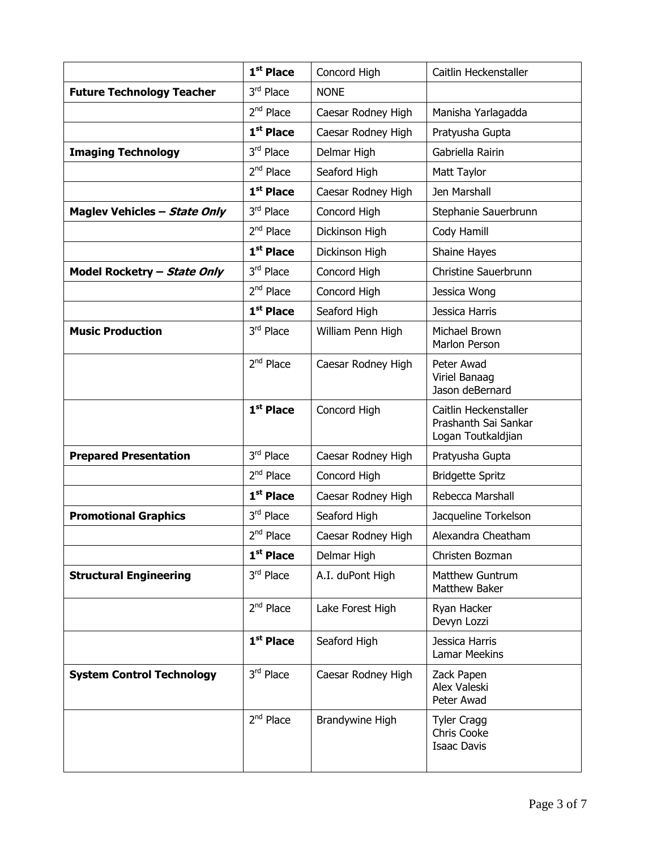|                                  | 1 <sup>st</sup> Place | Concord High       | Caitlin Heckenstaller                                               |
|----------------------------------|-----------------------|--------------------|---------------------------------------------------------------------|
| <b>Future Technology Teacher</b> | 3rd Place             | <b>NONE</b>        |                                                                     |
|                                  | $2nd$ Place           | Caesar Rodney High | Manisha Yarlagadda                                                  |
|                                  | $1st$ Place           | Caesar Rodney High | Pratyusha Gupta                                                     |
| <b>Imaging Technology</b>        | 3rd Place             | Delmar High        | Gabriella Rairin                                                    |
|                                  | $2nd$ Place           | Seaford High       | Matt Taylor                                                         |
|                                  | $1st$ Place           | Caesar Rodney High | Jen Marshall                                                        |
| Maglev Vehicles - State Only     | 3rd Place             | Concord High       | Stephanie Sauerbrunn                                                |
|                                  | $2nd$ Place           | Dickinson High     | Cody Hamill                                                         |
|                                  | 1 <sup>st</sup> Place | Dickinson High     | Shaine Hayes                                                        |
| Model Rocketry - State Only      | 3rd Place             | Concord High       | Christine Sauerbrunn                                                |
|                                  | $2nd$ Place           | Concord High       | Jessica Wong                                                        |
|                                  | $1st$ Place           | Seaford High       | Jessica Harris                                                      |
| <b>Music Production</b>          | 3rd Place             | William Penn High  | Michael Brown<br>Marlon Person                                      |
|                                  | $2nd$ Place           | Caesar Rodney High | Peter Awad<br>Viriel Banaag<br>Jason deBernard                      |
|                                  | $1st$ Place           | Concord High       | Caitlin Heckenstaller<br>Prashanth Sai Sankar<br>Logan Toutkaldjian |
| <b>Prepared Presentation</b>     | 3rd Place             | Caesar Rodney High | Pratyusha Gupta                                                     |
|                                  | $2nd$ Place           | Concord High       | <b>Bridgette Spritz</b>                                             |
|                                  | $1st$ Place           | Caesar Rodney High | Rebecca Marshall                                                    |
| <b>Promotional Graphics</b>      | 3rd Place             | Seaford High       | Jacqueline Torkelson                                                |
|                                  | 2 <sup>nd</sup> Place | Caesar Rodney High | Alexandra Cheatham                                                  |
|                                  | $1st$ Place           | Delmar High        | Christen Bozman                                                     |
| <b>Structural Engineering</b>    | 3rd Place             | A.I. duPont High   | <b>Matthew Guntrum</b><br><b>Matthew Baker</b>                      |
|                                  | $2nd$ Place           | Lake Forest High   | Ryan Hacker<br>Devyn Lozzi                                          |
|                                  | 1 <sup>st</sup> Place | Seaford High       | Jessica Harris<br><b>Lamar Meekins</b>                              |
| <b>System Control Technology</b> | 3rd Place             | Caesar Rodney High | Zack Papen<br>Alex Valeski<br>Peter Awad                            |
|                                  | $2nd$ Place           | Brandywine High    | <b>Tyler Cragg</b><br>Chris Cooke<br><b>Isaac Davis</b>             |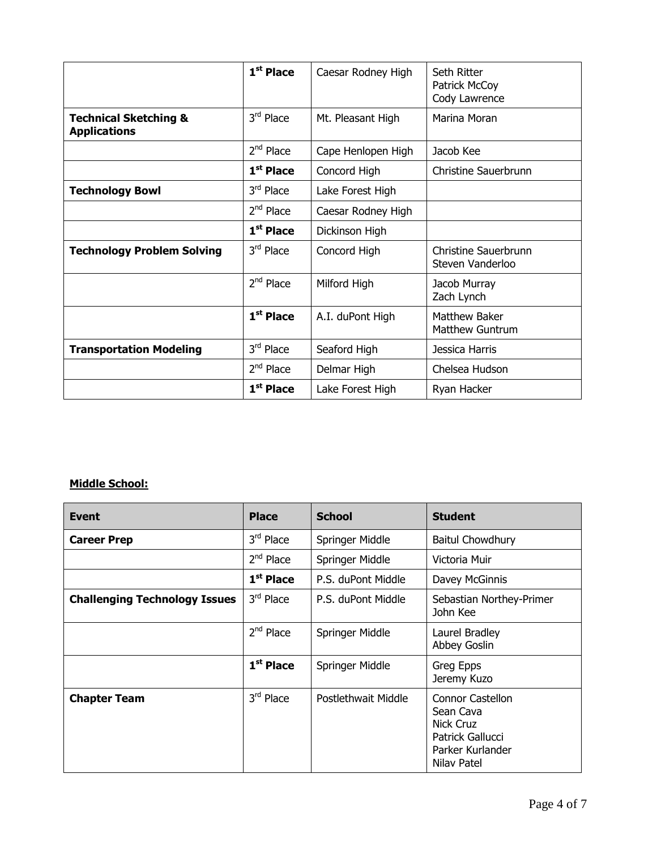|                                                         | $1st$ Place           | Caesar Rodney High | Seth Ritter<br>Patrick McCoy<br>Cody Lawrence |
|---------------------------------------------------------|-----------------------|--------------------|-----------------------------------------------|
| <b>Technical Sketching &amp;</b><br><b>Applications</b> | $3rd$ Place           | Mt. Pleasant High  | Marina Moran                                  |
|                                                         | $2nd$ Place           | Cape Henlopen High | Jacob Kee                                     |
|                                                         | $1st$ Place           | Concord High       | Christine Sauerbrunn                          |
| <b>Technology Bowl</b>                                  | $3rd$ Place           | Lake Forest High   |                                               |
|                                                         | $2nd$ Place           | Caesar Rodney High |                                               |
|                                                         | $1st$ Place           | Dickinson High     |                                               |
| <b>Technology Problem Solving</b>                       | $3rd$ Place           | Concord High       | Christine Sauerbrunn<br>Steven Vanderloo      |
|                                                         | $2nd$ Place           | Milford High       | Jacob Murray<br>Zach Lynch                    |
|                                                         | 1 <sup>st</sup> Place | A.I. duPont High   | Matthew Baker<br>Matthew Guntrum              |
| <b>Transportation Modeling</b>                          | 3rd Place             | Seaford High       | Jessica Harris                                |
|                                                         | $2nd$ Place           | Delmar High        | Chelsea Hudson                                |
|                                                         | 1 <sup>st</sup> Place | Lake Forest High   | Ryan Hacker                                   |

## **Middle School:**

| <b>Event</b>                         | <b>Place</b> | <b>School</b>       | <b>Student</b>                                                                                                  |
|--------------------------------------|--------------|---------------------|-----------------------------------------------------------------------------------------------------------------|
| <b>Career Prep</b>                   | 3rd Place    | Springer Middle     | <b>Baitul Chowdhury</b>                                                                                         |
|                                      | $2nd$ Place  | Springer Middle     | Victoria Muir                                                                                                   |
|                                      | $1st$ Place  | P.S. duPont Middle  | Davey McGinnis                                                                                                  |
| <b>Challenging Technology Issues</b> | $3rd$ Place  | P.S. duPont Middle  | Sebastian Northey-Primer<br>John Kee                                                                            |
|                                      | $2nd$ Place  | Springer Middle     | Laurel Bradley<br>Abbey Goslin                                                                                  |
|                                      | $1st$ Place  | Springer Middle     | Greg Epps<br>Jeremy Kuzo                                                                                        |
| <b>Chapter Team</b>                  | 3rd Place    | Postlethwait Middle | <b>Connor Castellon</b><br>Sean Cava<br><b>Nick Cruz</b><br>Patrick Gallucci<br>Parker Kurlander<br>Nilav Patel |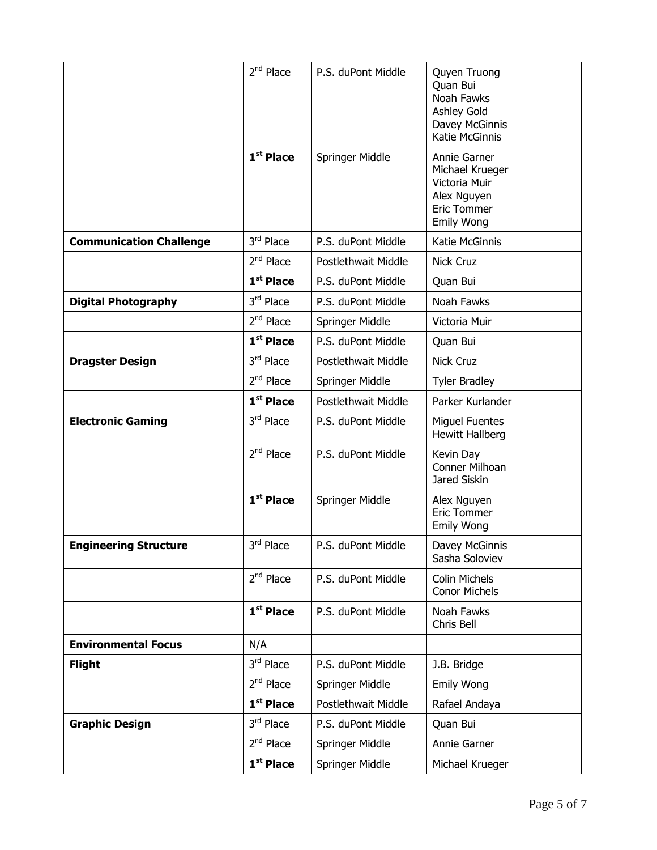|                                | 2 <sup>nd</sup> Place | P.S. duPont Middle  | Quyen Truong<br>Quan Bui<br>Noah Fawks<br>Ashley Gold<br>Davey McGinnis<br>Katie McGinnis           |
|--------------------------------|-----------------------|---------------------|-----------------------------------------------------------------------------------------------------|
|                                | $1st$ Place           | Springer Middle     | Annie Garner<br>Michael Krueger<br>Victoria Muir<br>Alex Nguyen<br>Eric Tommer<br><b>Emily Wong</b> |
| <b>Communication Challenge</b> | 3rd Place             | P.S. duPont Middle  | Katie McGinnis                                                                                      |
|                                | 2 <sup>nd</sup> Place | Postlethwait Middle | <b>Nick Cruz</b>                                                                                    |
|                                | 1 <sup>st</sup> Place | P.S. duPont Middle  | Quan Bui                                                                                            |
| <b>Digital Photography</b>     | 3rd Place             | P.S. duPont Middle  | Noah Fawks                                                                                          |
|                                | 2 <sup>nd</sup> Place | Springer Middle     | Victoria Muir                                                                                       |
|                                | $1st$ Place           | P.S. duPont Middle  | Quan Bui                                                                                            |
| <b>Dragster Design</b>         | 3rd Place             | Postlethwait Middle | Nick Cruz                                                                                           |
|                                | 2 <sup>nd</sup> Place | Springer Middle     | <b>Tyler Bradley</b>                                                                                |
|                                | $1st$ Place           | Postlethwait Middle | Parker Kurlander                                                                                    |
| <b>Electronic Gaming</b>       | 3rd Place             | P.S. duPont Middle  | <b>Miguel Fuentes</b><br>Hewitt Hallberg                                                            |
|                                | $2nd$ Place           | P.S. duPont Middle  | Kevin Day<br>Conner Milhoan<br>Jared Siskin                                                         |
|                                | 1 <sup>st</sup> Place | Springer Middle     | Alex Nguyen<br>Eric Tommer<br>Emily Wong                                                            |
| <b>Engineering Structure</b>   | $3^{\text{rd}}$ Place | P.S. duPont Middle  | Davey McGinnis<br>Sasha Soloviev                                                                    |
|                                | $2nd$ Place           | P.S. duPont Middle  | <b>Colin Michels</b><br>Conor Michels                                                               |
|                                | $1st$ Place           | P.S. duPont Middle  | Noah Fawks<br>Chris Bell                                                                            |
| <b>Environmental Focus</b>     | N/A                   |                     |                                                                                                     |
| <b>Flight</b>                  | 3rd Place             | P.S. duPont Middle  | J.B. Bridge                                                                                         |
|                                | $2nd$ Place           | Springer Middle     | Emily Wong                                                                                          |
|                                | $1st$ Place           | Postlethwait Middle | Rafael Andaya                                                                                       |
| <b>Graphic Design</b>          | 3rd Place             | P.S. duPont Middle  | Quan Bui                                                                                            |
|                                | $2nd$ Place           | Springer Middle     | Annie Garner                                                                                        |
|                                | 1 <sup>st</sup> Place | Springer Middle     | Michael Krueger                                                                                     |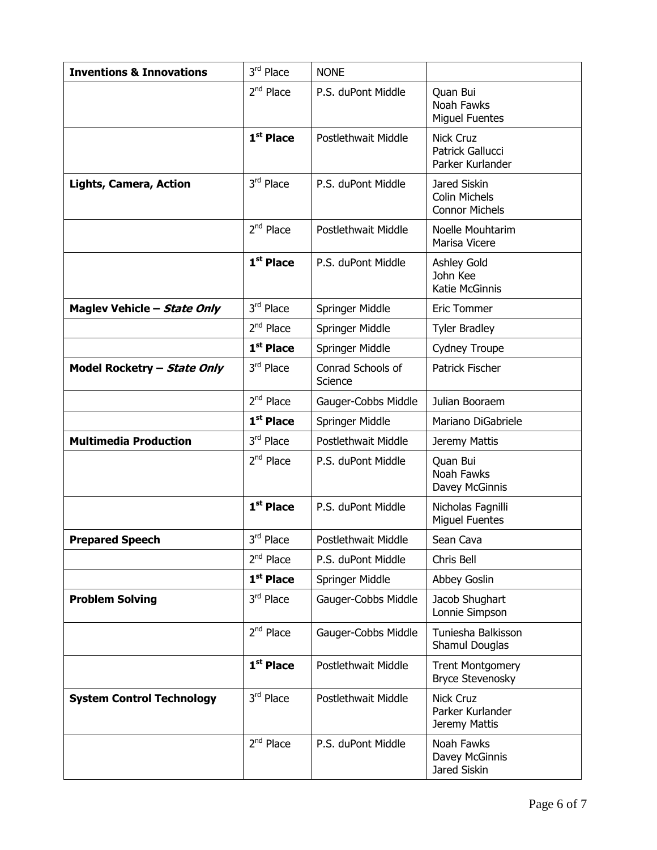| <b>Inventions &amp; Innovations</b> | 3rd Place             | <b>NONE</b>                  |                                                               |
|-------------------------------------|-----------------------|------------------------------|---------------------------------------------------------------|
|                                     | $2nd$ Place           | P.S. duPont Middle           | Quan Bui<br>Noah Fawks<br><b>Miguel Fuentes</b>               |
|                                     | 1st Place             | <b>Postlethwait Middle</b>   | <b>Nick Cruz</b><br>Patrick Gallucci<br>Parker Kurlander      |
| <b>Lights, Camera, Action</b>       | 3rd Place             | P.S. duPont Middle           | Jared Siskin<br><b>Colin Michels</b><br><b>Connor Michels</b> |
|                                     | $2nd$ Place           | Postlethwait Middle          | Noelle Mouhtarim<br>Marisa Vicere                             |
|                                     | $1st$ Place           | P.S. duPont Middle           | Ashley Gold<br>John Kee<br>Katie McGinnis                     |
| Maglev Vehicle - State Only         | 3rd Place             | Springer Middle              | <b>Eric Tommer</b>                                            |
|                                     | 2 <sup>nd</sup> Place | Springer Middle              | <b>Tyler Bradley</b>                                          |
|                                     | $1st$ Place           | Springer Middle              | Cydney Troupe                                                 |
| Model Rocketry - State Only         | 3rd Place             | Conrad Schools of<br>Science | Patrick Fischer                                               |
|                                     | $2nd$ Place           | Gauger-Cobbs Middle          | Julian Booraem                                                |
|                                     | 1 <sup>st</sup> Place | Springer Middle              | Mariano DiGabriele                                            |
| <b>Multimedia Production</b>        | 3rd Place             | Postlethwait Middle          | Jeremy Mattis                                                 |
|                                     | $2nd$ Place           | P.S. duPont Middle           | Quan Bui<br>Noah Fawks<br>Davey McGinnis                      |
|                                     | 1 <sup>st</sup> Place | P.S. duPont Middle           | Nicholas Fagnilli<br><b>Miquel Fuentes</b>                    |
| <b>Prepared Speech</b>              | $3^{\text{rd}}$ Place | Postlethwait Middle          | Sean Cava                                                     |
|                                     | $2^{nd}$ Place        | P.S. duPont Middle           | Chris Bell                                                    |
|                                     | 1 <sup>st</sup> Place | Springer Middle              | Abbey Goslin                                                  |
| <b>Problem Solving</b>              | 3rd Place             | Gauger-Cobbs Middle          | Jacob Shughart<br>Lonnie Simpson                              |
|                                     | 2 <sup>nd</sup> Place | Gauger-Cobbs Middle          | Tuniesha Balkisson<br>Shamul Douglas                          |
|                                     | 1 <sup>st</sup> Place | Postlethwait Middle          | <b>Trent Montgomery</b><br>Bryce Stevenosky                   |
| <b>System Control Technology</b>    | 3rd Place             | Postlethwait Middle          | <b>Nick Cruz</b><br>Parker Kurlander<br>Jeremy Mattis         |
|                                     | $2nd$ Place           | P.S. duPont Middle           | Noah Fawks<br>Davey McGinnis<br>Jared Siskin                  |